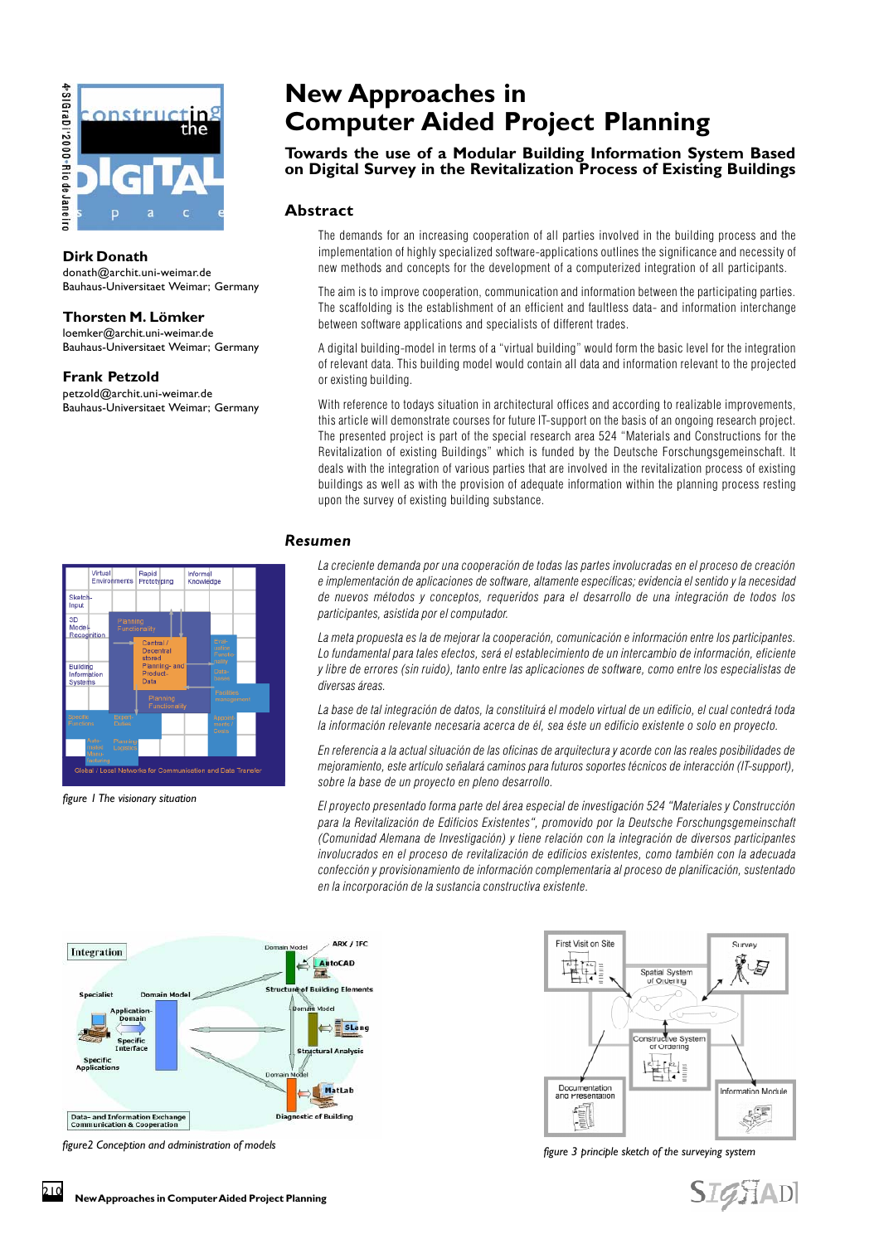



#### **Dirk Donath**

donath@archit.uni-weimar.de Bauhaus-Universitaet Weimar; Germany

#### **Thorsten M. Lömker**

*figure 1 The visionary situation*

loemker@archit.uni-weimar.de Bauhaus-Universitaet Weimar; Germany

#### **Frank Petzold**

petzold@archit.uni-weimar.de Bauhaus-Universitaet Weimar; Germany

Rapid<br>Prototyping

nanti

Sket<br>Inpu 3D<br>Mod

Building

Infor<mark>mal</mark><br>Knowled

# **New Approaches in Computer Aided Project Planning**

# **Towards the use of a Modular Building Information System Based on Digital Survey in the Revitalization Process of Existing Buildings**

# **Abstract**

The demands for an increasing cooperation of all parties involved in the building process and the implementation of highly specialized software-applications outlines the significance and necessity of new methods and concepts for the development of a computerized integration of all participants.

The aim is to improve cooperation, communication and information between the participating parties. The scaffolding is the establishment of an efficient and faultless data- and information interchange between software applications and specialists of different trades.

A digital building-model in terms of a "virtual building" would form the basic level for the integration of relevant data. This building model would contain all data and information relevant to the projected or existing building.

With reference to todays situation in architectural offices and according to realizable improvements, this article will demonstrate courses for future IT-support on the basis of an ongoing research project. The presented project is part of the special research area 524 Materials and Constructions for the Revitalization of existing Buildings" which is funded by the Deutsche Forschungsgemeinschaft. It deals with the integration of various parties that are involved in the revitalization process of existing buildings as well as with the provision of adequate information within the planning process resting upon the survey of existing building substance.

# *Resumen*

La creciente demanda por una cooperación de todas las partes involucradas en el proceso de creación e implementación de aplicaciones de software, altamente específicas; evidencia el sentido y la necesidad de nuevos métodos y conceptos, requeridos para el desarrollo de una integración de todos los participantes, asistida por el computador.

La meta propuesta es la de mejorar la cooperación, comunicación e información entre los participantes. Lo fundamental para tales efectos, será el establecimiento de un intercambio de información, eficiente y libre de errores (sin ruido), tanto entre las aplicaciones de software, como entre los especialistas de diversas áreas.

La base de tal integración de datos, la constituirá el modelo virtual de un edificio, el cual contedrá toda la información relevante necesaria acerca de él, sea éste un edificio existente o solo en proyecto.

En referencia a la actual situación de las oficinas de arquitectura y acorde con las reales posibilidades de mejoramiento, este artículo señalará caminos para futuros soportes técnicos de interacción (IT-support), sobre la base de un proyecto en pleno desarrollo.

El proyecto presentado forma parte del área especial de investigación 524 Materiales y Construcción para la Revitalización de Edificios Existentes", promovido por la Deutsche Forschungsgemeinschaft (Comunidad Alemana de Investigación) y tiene relación con la integración de diversos participantes involucrados en el proceso de revitalización de edificios existentes, como también con la adecuada confección y provisionamiento de información complementaria al proceso de planificación, sustentado en la incorporación de la sustancia constructiva existente.



ation and Data Trans



*figure2 Conception and administration of models figure 3 principle sketch of the surveying system*

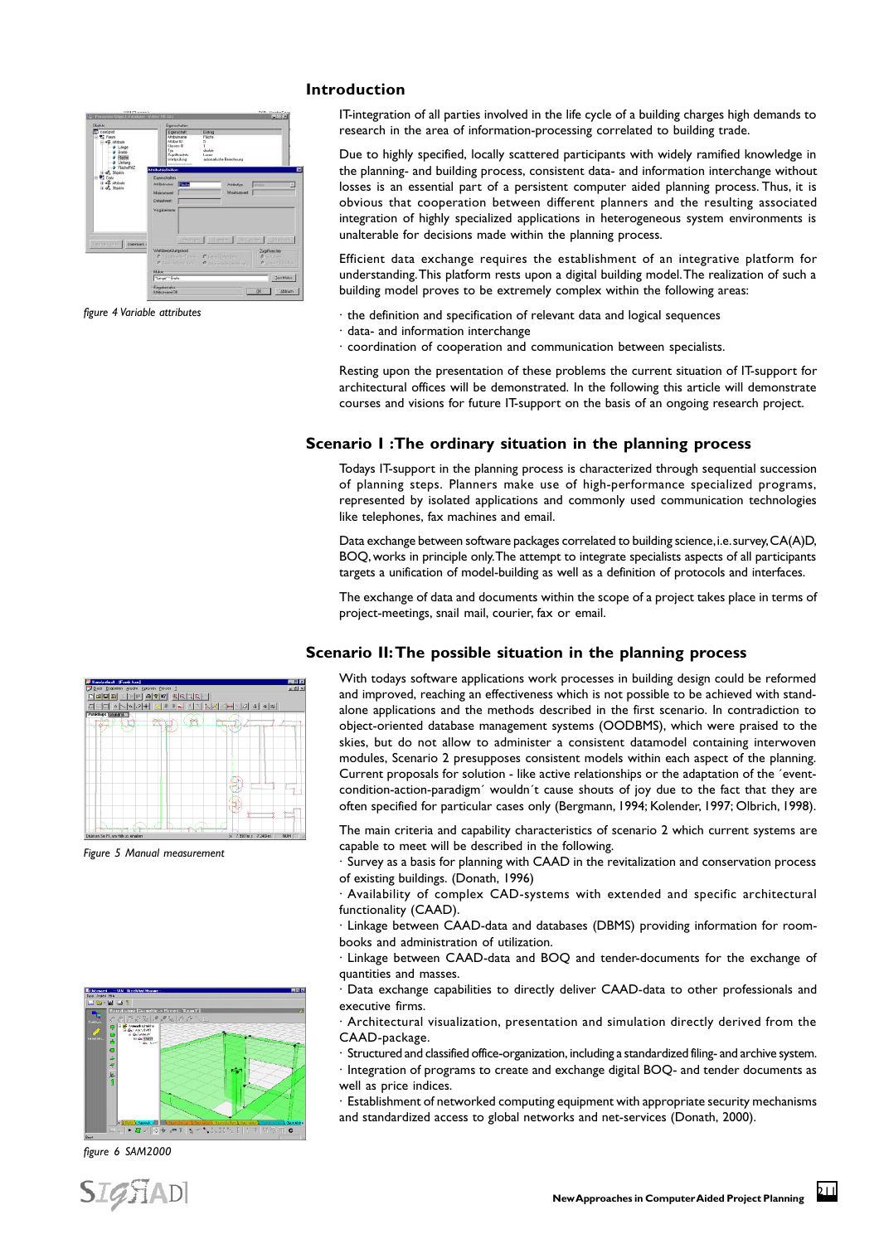#### **Introduction**



*figure 4 Variable attributes*

IT-integration of all parties involved in the life cycle of a building charges high demands to research in the area of information-processing correlated to building trade.

Due to highly specified, locally scattered participants with widely ramified knowledge in the planning- and building process, consistent data- and information interchange without losses is an essential part of a persistent computer aided planning process. Thus, it is obvious that cooperation between different planners and the resulting associated integration of highly specialized applications in heterogeneous system environments is unalterable for decisions made within the planning process.

Efficient data exchange requires the establishment of an integrative platform for understanding. This platform rests upon a digital building model. The realization of such a building model proves to be extremely complex within the following areas:

- · the definition and specification of relevant data and logical sequences
- · data- and information interchange
- · coordination of cooperation and communication between specialists.

Resting upon the presentation of these problems the current situation of IT-support for architectural offices will be demonstrated. In the following this article will demonstrate courses and visions for future IT-support on the basis of an ongoing research project.

## **Scenario I :The ordinary situation in the planning process**

Todays IT-support in the planning process is characterized through sequential succession of planning steps. Planners make use of high-performance specialized programs, represented by isolated applications and commonly used communication technologies like telephones, fax machines and email.

Data exchange between software packages correlated to building science, i.e. survey, CA(A)D, BOQ, works in principle only. The attempt to integrate specialists aspects of all participants targets a unification of model-building as well as a definition of protocols and interfaces.

The exchange of data and documents within the scope of a project takes place in terms of project-meetings, snail mail, courier, fax or email.

#### **Scenario II: The possible situation in the planning process**

With todays software applications work processes in building design could be reformed and improved, reaching an effectiveness which is not possible to be achieved with standalone applications and the methods described in the first scenario. In contradiction to object-oriented database management systems (OODBMS), which were praised to the skies, but do not allow to administer a consistent datamodel containing interwoven modules, Scenario 2 presupposes consistent models within each aspect of the planning. Current proposals for solution - like active relationships or the adaptation of the ´eventcondition-action-paradigm´ wouldn´t cause shouts of joy due to the fact that they are often specified for particular cases only (Bergmann, 1994; Kolender, 1997; Olbrich, 1998).

The main criteria and capability characteristics of scenario 2 which current systems are capable to meet will be described in the following.

· Survey as a basis for planning with CAAD in the revitalization and conservation process of existing buildings. (Donath, 1996)

· Availability of complex CAD-systems with extended and specific architectural functionality (CAAD).

· Linkage between CAAD-data and databases (DBMS) providing information for roombooks and administration of utilization.

· Linkage between CAAD-data and BOQ and tender-documents for the exchange of quantities and masses.

· Data exchange capabilities to directly deliver CAAD-data to other professionals and executive firms.

· Architectural visualization, presentation and simulation directly derived from the CAAD-package.

· Structured and classified office-organization, including a standardized filing- and archive system.

· Integration of programs to create and exchange digital BOQ- and tender documents as well as price indices.

· Establishment of networked computing equipment with appropriate security mechanisms and standardized access to global networks and net-services (Donath, 2000).



*Figure 5 Manual measurement*



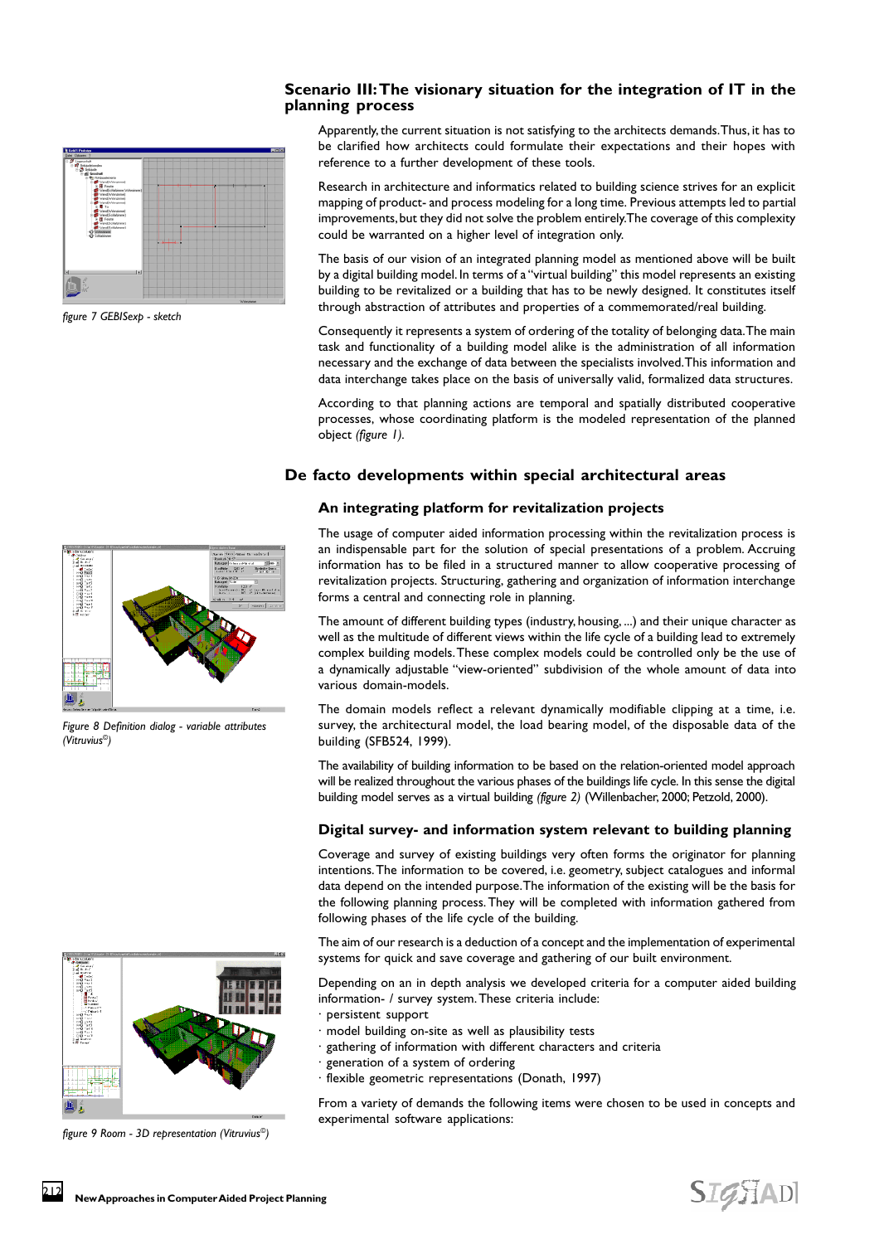## **Scenario III: The visionary situation for the integration of IT in the planning process**



*figure 7 GEBISexp - sketch*

Apparently, the current situation is not satisfying to the architects demands. Thus, it has to be clarified how architects could formulate their expectations and their hopes with reference to a further development of these tools.

Research in architecture and informatics related to building science strives for an explicit mapping of product- and process modeling for a long time. Previous attempts led to partial improvements, but they did not solve the problem entirely. The coverage of this complexity could be warranted on a higher level of integration only.

The basis of our vision of an integrated planning model as mentioned above will be built by a digital building model. In terms of a "virtual building" this model represents an existing building to be revitalized or a building that has to be newly designed. It constitutes itself through abstraction of attributes and properties of a commemorated/real building.

Consequently it represents a system of ordering of the totality of belonging data. The main task and functionality of a building model alike is the administration of all information necessary and the exchange of data between the specialists involved. This information and data interchange takes place on the basis of universally valid, formalized data structures.

According to that planning actions are temporal and spatially distributed cooperative processes, whose coordinating platform is the modeled representation of the planned object *(figure 1).*

#### **De facto developments within special architectural areas**

#### **An integrating platform for revitalization projects**



*Figure 8 Definition dialog - variable attributes (Vitruvius©)*



*figure 9 Room - 3D representation (Vitruvius©)*

The usage of computer aided information processing within the revitalization process is an indispensable part for the solution of special presentations of a problem. Accruing information has to be filed in a structured manner to allow cooperative processing of revitalization projects. Structuring, gathering and organization of information interchange forms a central and connecting role in planning.

The amount of different building types (industry, housing, ...) and their unique character as well as the multitude of different views within the life cycle of a building lead to extremely complex building models. These complex models could be controlled only be the use of a dynamically adjustable "view-oriented" subdivision of the whole amount of data into various domain-models.

The domain models reflect a relevant dynamically modifiable clipping at a time, i.e. survey, the architectural model, the load bearing model, of the disposable data of the building (SFB524, 1999).

The availability of building information to be based on the relation-oriented model approach will be realized throughout the various phases of the buildings life cycle. In this sense the digital building model serves as a virtual building *(figure 2)* (Willenbacher, 2000; Petzold, 2000).

#### **Digital survey- and information system relevant to building planning**

Coverage and survey of existing buildings very often forms the originator for planning intentions. The information to be covered, i.e. geometry, subject catalogues and informal data depend on the intended purpose. The information of the existing will be the basis for the following planning process. They will be completed with information gathered from following phases of the life cycle of the building.

The aim of our research is a deduction of a concept and the implementation of experimental systems for quick and save coverage and gathering of our built environment.

Depending on an in depth analysis we developed criteria for a computer aided building information- / survey system. These criteria include:

- · persistent support
- · model building on-site as well as plausibility tests
- · gathering of information with different characters and criteria
- · generation of a system of ordering
- · flexible geometric representations (Donath, 1997)

From a variety of demands the following items were chosen to be used in concepts and experimental software applications: